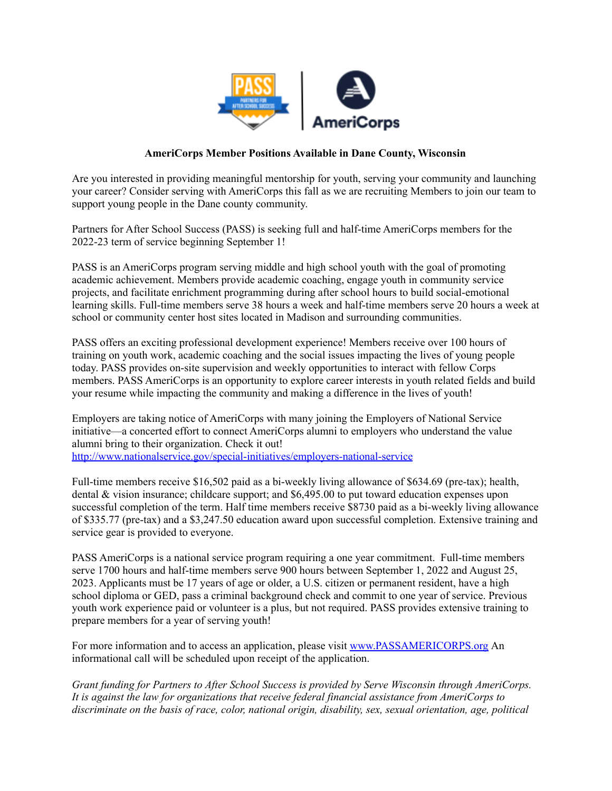

## **AmeriCorps Member Positions Available in Dane County, Wisconsin**

Are you interested in providing meaningful mentorship for youth, serving your community and launching your career? Consider serving with AmeriCorps this fall as we are recruiting Members to join our team to support young people in the Dane county community.

Partners for After School Success (PASS) is seeking full and half-time AmeriCorps members for the 2022-23 term of service beginning September 1!

PASS is an AmeriCorps program serving middle and high school youth with the goal of promoting academic achievement. Members provide academic coaching, engage youth in community service projects, and facilitate enrichment programming during after school hours to build social-emotional learning skills. Full-time members serve 38 hours a week and half-time members serve 20 hours a week at school or community center host sites located in Madison and surrounding communities.

PASS offers an exciting professional development experience! Members receive over 100 hours of training on youth work, academic coaching and the social issues impacting the lives of young people today. PASS provides on-site supervision and weekly opportunities to interact with fellow Corps members. PASS AmeriCorps is an opportunity to explore career interests in youth related fields and build your resume while impacting the community and making a difference in the lives of youth!

Employers are taking notice of AmeriCorps with many joining the Employers of National Service initiative—a concerted effort to connect AmeriCorps alumni to employers who understand the value alumni bring to their organization. Check it out!

<http://www.nationalservice.gov/special-initiatives/employers-national-service>

Full-time members receive \$16,502 paid as a bi-weekly living allowance of \$634.69 (pre-tax); health, dental & vision insurance; childcare support; and \$6,495.00 to put toward education expenses upon successful completion of the term. Half time members receive \$8730 paid as a bi-weekly living allowance of \$335.77 (pre-tax) and a \$3,247.50 education award upon successful completion. Extensive training and service gear is provided to everyone.

PASS AmeriCorps is a national service program requiring a one year commitment. Full-time members serve 1700 hours and half-time members serve 900 hours between September 1, 2022 and August 25, 2023. Applicants must be 17 years of age or older, a U.S. citizen or permanent resident, have a high school diploma or GED, pass a criminal background check and commit to one year of service. Previous youth work experience paid or volunteer is a plus, but not required. PASS provides extensive training to prepare members for a year of serving youth!

For more information and to access an application, please visit [www.PASSAMERICORPS.org](http://www.passamericorps.org) An informational call will be scheduled upon receipt of the application.

*Grant funding for Partners to After School Success is provided by Serve Wisconsin through AmeriCorps. It is against the law for organizations that receive federal financial assistance from AmeriCorps to discriminate on the basis of race, color, national origin, disability, sex, sexual orientation, age, political*